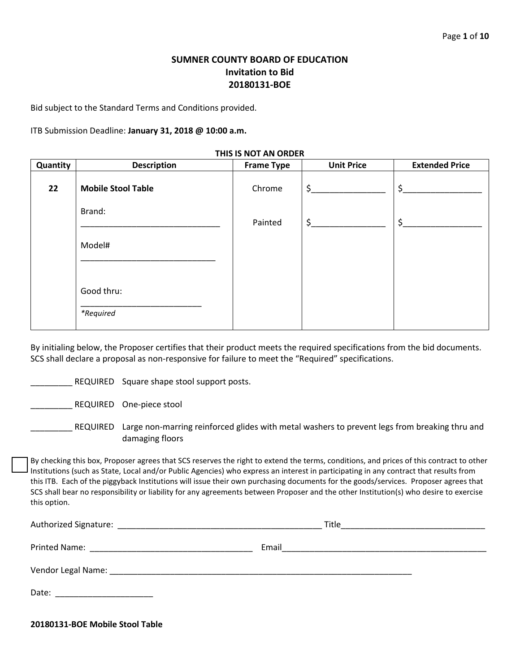# **SUMNER COUNTY BOARD OF EDUCATION Invitation to Bid 20180131-BOE**

Bid subject to the Standard Terms and Conditions provided.

ITB Submission Deadline: **January 31, 2018 @ 10:00 a.m.**

| IND IS NOT AN UNDER |                           |                   |                   |                       |  |  |  |
|---------------------|---------------------------|-------------------|-------------------|-----------------------|--|--|--|
| Quantity            | <b>Description</b>        | <b>Frame Type</b> | <b>Unit Price</b> | <b>Extended Price</b> |  |  |  |
| 22                  | <b>Mobile Stool Table</b> | Chrome            | $\zeta$           | $\zeta$               |  |  |  |
|                     | Brand:                    | Painted           | \$                | $\zeta$               |  |  |  |
|                     | Model#                    |                   |                   |                       |  |  |  |
|                     | Good thru:<br>*Required   |                   |                   |                       |  |  |  |

By initialing below, the Proposer certifies that their product meets the required specifications from the bid documents. SCS shall declare a proposal as non-responsive for failure to meet the "Required" specifications.

REQUIRED Square shape stool support posts.

REQUIRED One-piece stool

\_\_\_\_\_\_\_\_\_ REQUIRED Large non-marring reinforced glides with metal washers to prevent legs from breaking thru and damaging floors

By checking this box, Proposer agrees that SCS reserves the right to extend the terms, conditions, and prices of this contract to other Institutions (such as State, Local and/or Public Agencies) who express an interest in participating in any contract that results from this ITB. Each of the piggyback Institutions will issue their own purchasing documents for the goods/services. Proposer agrees that SCS shall bear no responsibility or liability for any agreements between Proposer and the other Institution(s) who desire to exercise this option.

| Title                                                                       |
|-----------------------------------------------------------------------------|
| Email<br><u> 1989 - Johann John Stein, mars an deutscher Stein († 1958)</u> |
|                                                                             |
|                                                                             |

**20180131-BOE Mobile Stool Table**

#### **THIS IS NOT AN ORDER**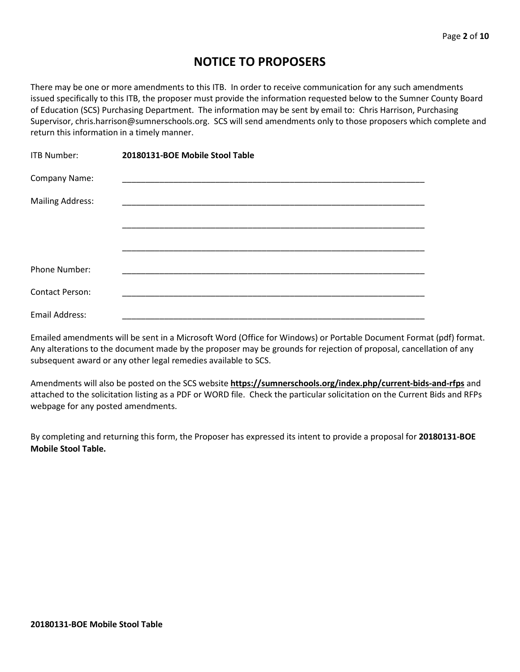# **NOTICE TO PROPOSERS**

There may be one or more amendments to this ITB. In order to receive communication for any such amendments issued specifically to this ITB, the proposer must provide the information requested below to the Sumner County Board of Education (SCS) Purchasing Department. The information may be sent by email to: Chris Harrison, Purchasing Supervisor, chris.harrison@sumnerschools.org. SCS will send amendments only to those proposers which complete and return this information in a timely manner.

| ITB Number:             | 20180131-BOE Mobile Stool Table |
|-------------------------|---------------------------------|
| Company Name:           |                                 |
| <b>Mailing Address:</b> |                                 |
|                         |                                 |
|                         |                                 |
| <b>Phone Number:</b>    |                                 |
| <b>Contact Person:</b>  |                                 |
| Email Address:          |                                 |

Emailed amendments will be sent in a Microsoft Word (Office for Windows) or Portable Document Format (pdf) format. Any alterations to the document made by the proposer may be grounds for rejection of proposal, cancellation of any subsequent award or any other legal remedies available to SCS.

Amendments will also be posted on the SCS website **https://sumnerschools.org/index.php/current-bids-and-rfps** and attached to the solicitation listing as a PDF or WORD file. Check the particular solicitation on the Current Bids and RFPs webpage for any posted amendments.

By completing and returning this form, the Proposer has expressed its intent to provide a proposal for **20180131-BOE Mobile Stool Table.**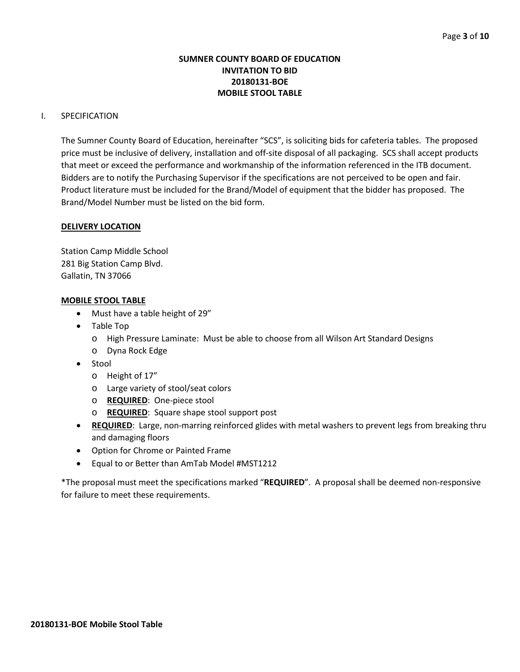## **SUMNER COUNTY BOARD OF EDUCATION INVITATION TO BID 20180131-BOE MOBILE STOOL TABLE**

## I. SPECIFICATION

The Sumner County Board of Education, hereinafter "SCS", is soliciting bids for cafeteria tables. The proposed price must be inclusive of delivery, installation and off-site disposal of all packaging. SCS shall accept products that meet or exceed the performance and workmanship of the information referenced in the ITB document. Bidders are to notify the Purchasing Supervisor if the specifications are not perceived to be open and fair. Product literature must be included for the Brand/Model of equipment that the bidder has proposed. The Brand/Model Number must be listed on the bid form.

## **DELIVERY LOCATION**

Station Camp Middle School 281 Big Station Camp Blvd. Gallatin, TN 37066

## **MOBILE STOOL TABLE**

- Must have a table height of 29"
- Table Top
	- o High Pressure Laminate: Must be able to choose from all Wilson Art Standard Designs
	- o Dyna Rock Edge
- Stool
	- o Height of 17"
	- o Large variety of stool/seat colors
	- o **REQUIRED**: One-piece stool
	- o **REQUIRED**: Square shape stool support post
- **REQUIRED**: Large, non-marring reinforced glides with metal washers to prevent legs from breaking thru and damaging floors
- Option for Chrome or Painted Frame
- Equal to or Better than AmTab Model #MST1212

\*The proposal must meet the specifications marked "**REQUIRED**". A proposal shall be deemed non-responsive for failure to meet these requirements.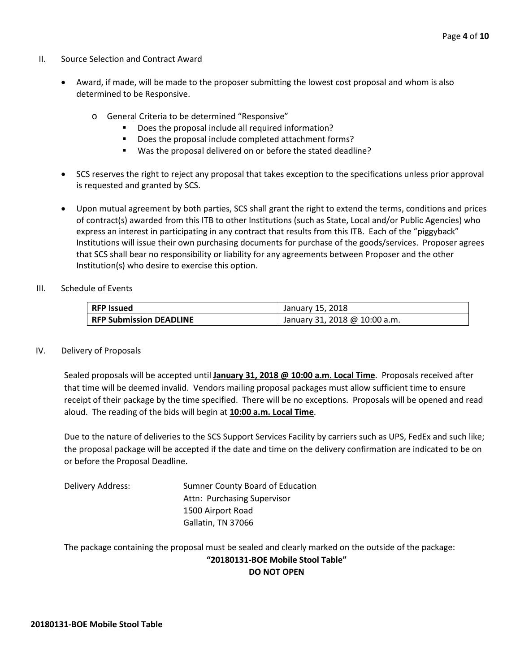- II. Source Selection and Contract Award
	- Award, if made, will be made to the proposer submitting the lowest cost proposal and whom is also determined to be Responsive.
		- o General Criteria to be determined "Responsive"
			- Does the proposal include all required information?
			- Does the proposal include completed attachment forms?
			- Was the proposal delivered on or before the stated deadline?
	- SCS reserves the right to reject any proposal that takes exception to the specifications unless prior approval is requested and granted by SCS.
	- Upon mutual agreement by both parties, SCS shall grant the right to extend the terms, conditions and prices of contract(s) awarded from this ITB to other Institutions (such as State, Local and/or Public Agencies) who express an interest in participating in any contract that results from this ITB. Each of the "piggyback" Institutions will issue their own purchasing documents for purchase of the goods/services. Proposer agrees that SCS shall bear no responsibility or liability for any agreements between Proposer and the other Institution(s) who desire to exercise this option.
- III. Schedule of Events

| <b>RFP Issued</b>              | January 15, 2018              |  |  |  |  |  |
|--------------------------------|-------------------------------|--|--|--|--|--|
| <b>RFP Submission DEADLINE</b> | January 31, 2018 @ 10:00 a.m. |  |  |  |  |  |

#### IV. Delivery of Proposals

Sealed proposals will be accepted until **January 31, 2018 @ 10:00 a.m. Local Time**. Proposals received after that time will be deemed invalid. Vendors mailing proposal packages must allow sufficient time to ensure receipt of their package by the time specified. There will be no exceptions. Proposals will be opened and read aloud. The reading of the bids will begin at **10:00 a.m. Local Time**.

Due to the nature of deliveries to the SCS Support Services Facility by carriers such as UPS, FedEx and such like; the proposal package will be accepted if the date and time on the delivery confirmation are indicated to be on or before the Proposal Deadline.

| Delivery Address: | Sumner County Board of Education |
|-------------------|----------------------------------|
|                   | Attn: Purchasing Supervisor      |
|                   | 1500 Airport Road                |
|                   | Gallatin, TN 37066               |

The package containing the proposal must be sealed and clearly marked on the outside of the package: **"20180131-BOE Mobile Stool Table" DO NOT OPEN**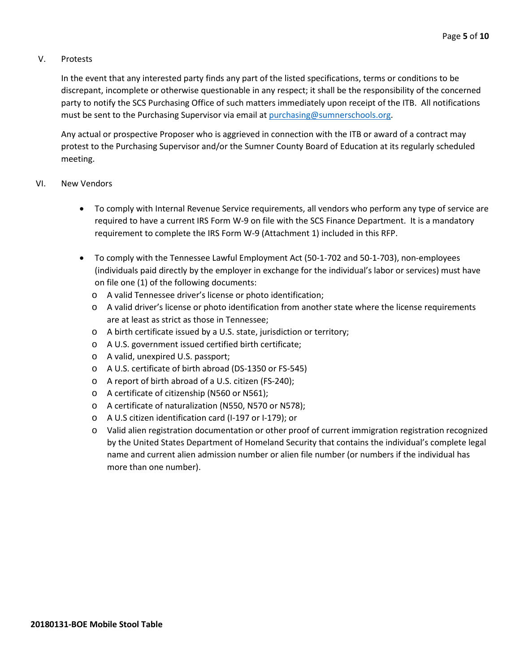## V. Protests

In the event that any interested party finds any part of the listed specifications, terms or conditions to be discrepant, incomplete or otherwise questionable in any respect; it shall be the responsibility of the concerned party to notify the SCS Purchasing Office of such matters immediately upon receipt of the ITB. All notifications must be sent to the Purchasing Supervisor via email at [purchasing@sumnerschools.org.](mailto:purchasing@sumnerschools.org)

Any actual or prospective Proposer who is aggrieved in connection with the ITB or award of a contract may protest to the Purchasing Supervisor and/or the Sumner County Board of Education at its regularly scheduled meeting.

## VI. New Vendors

- To comply with Internal Revenue Service requirements, all vendors who perform any type of service are required to have a current IRS Form W-9 on file with the SCS Finance Department. It is a mandatory requirement to complete the IRS Form W-9 (Attachment 1) included in this RFP.
- To comply with the Tennessee Lawful Employment Act (50-1-702 and 50-1-703), non-employees (individuals paid directly by the employer in exchange for the individual's labor or services) must have on file one (1) of the following documents:
	- o A valid Tennessee driver's license or photo identification;
	- o A valid driver's license or photo identification from another state where the license requirements are at least as strict as those in Tennessee;
	- o A birth certificate issued by a U.S. state, jurisdiction or territory;
	- o A U.S. government issued certified birth certificate;
	- o A valid, unexpired U.S. passport;
	- o A U.S. certificate of birth abroad (DS-1350 or FS-545)
	- o A report of birth abroad of a U.S. citizen (FS-240);
	- o A certificate of citizenship (N560 or N561);
	- o A certificate of naturalization (N550, N570 or N578);
	- o A U.S citizen identification card (I-197 or I-179); or
	- o Valid alien registration documentation or other proof of current immigration registration recognized by the United States Department of Homeland Security that contains the individual's complete legal name and current alien admission number or alien file number (or numbers if the individual has more than one number).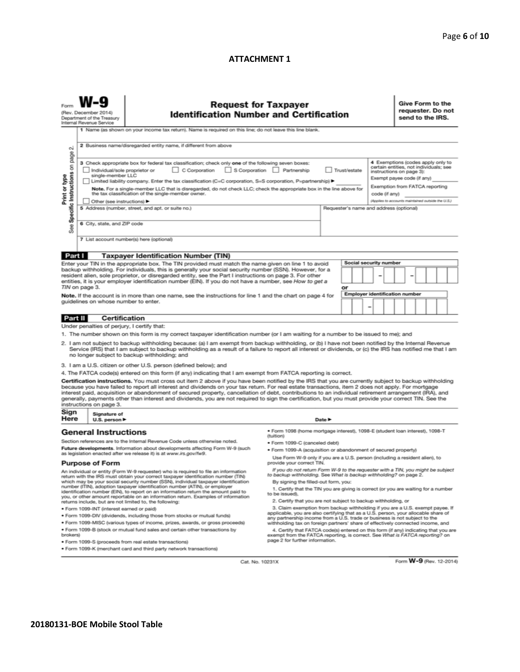#### **ATTACHMENT 1**

|                                                                                                                                                                                                                                                                                                                                                                                                                                                                                                                                                                                                                                                          | <b>Request for Taxpayer</b><br>(Rev. December 2014)<br><b>Identification Number and Certification</b><br>Department of the Treasury<br>Internal Revenue Service |                                                                                                                                                                                                                                                                                                                                                                                                                                              |                                                                                                                                                                                                                                                                                    |                                         |    |                               | Give Form to the<br>requester. Do not<br>send to the IRS. |                                                   |                                                                                                                                                                         |  |  |  |
|----------------------------------------------------------------------------------------------------------------------------------------------------------------------------------------------------------------------------------------------------------------------------------------------------------------------------------------------------------------------------------------------------------------------------------------------------------------------------------------------------------------------------------------------------------------------------------------------------------------------------------------------------------|-----------------------------------------------------------------------------------------------------------------------------------------------------------------|----------------------------------------------------------------------------------------------------------------------------------------------------------------------------------------------------------------------------------------------------------------------------------------------------------------------------------------------------------------------------------------------------------------------------------------------|------------------------------------------------------------------------------------------------------------------------------------------------------------------------------------------------------------------------------------------------------------------------------------|-----------------------------------------|----|-------------------------------|-----------------------------------------------------------|---------------------------------------------------|-------------------------------------------------------------------------------------------------------------------------------------------------------------------------|--|--|--|
|                                                                                                                                                                                                                                                                                                                                                                                                                                                                                                                                                                                                                                                          | 1 Name (as shown on your income tax return). Name is required on this line; do not leave this line blank.                                                       |                                                                                                                                                                                                                                                                                                                                                                                                                                              |                                                                                                                                                                                                                                                                                    |                                         |    |                               |                                                           |                                                   |                                                                                                                                                                         |  |  |  |
| οi                                                                                                                                                                                                                                                                                                                                                                                                                                                                                                                                                                                                                                                       |                                                                                                                                                                 | 2 Business name/disregarded entity name, if different from above                                                                                                                                                                                                                                                                                                                                                                             |                                                                                                                                                                                                                                                                                    |                                         |    |                               |                                                           |                                                   |                                                                                                                                                                         |  |  |  |
| See Specific Instructions on page<br>Print or type                                                                                                                                                                                                                                                                                                                                                                                                                                                                                                                                                                                                       | Individual/sole proprietor or<br>single-member LLC                                                                                                              | 3 Check appropriate box for federal tax classification; check only one of the following seven boxes:<br>C Corporation S Corporation Partnership<br>Limited liability company. Enter the tax classification (C=C corporation, S=S corporation, P=partnership) ▶<br>Note. For a single-member LLC that is disregarded, do not check LLC; check the appropriate box in the line above for<br>the tax classification of the single-member owner. | Trust/estate<br>code (if any)                                                                                                                                                                                                                                                      |                                         |    |                               |                                                           |                                                   | 4 Exemptions (codes apply only to<br>certain entities, not individuals; see<br>instructions on page 3):<br>Exempt payee code (if any)<br>Exemption from FATCA reporting |  |  |  |
|                                                                                                                                                                                                                                                                                                                                                                                                                                                                                                                                                                                                                                                          | ◯ Other (see instructions)                                                                                                                                      |                                                                                                                                                                                                                                                                                                                                                                                                                                              |                                                                                                                                                                                                                                                                                    |                                         |    |                               |                                                           | (Applies to accounts maintained outside the U.S.) |                                                                                                                                                                         |  |  |  |
|                                                                                                                                                                                                                                                                                                                                                                                                                                                                                                                                                                                                                                                          |                                                                                                                                                                 | 5 Address (number, street, and apt. or suite no.)                                                                                                                                                                                                                                                                                                                                                                                            |                                                                                                                                                                                                                                                                                    | Requester's name and address (optional) |    |                               |                                                           |                                                   |                                                                                                                                                                         |  |  |  |
|                                                                                                                                                                                                                                                                                                                                                                                                                                                                                                                                                                                                                                                          | 6 City, state, and ZIP code                                                                                                                                     |                                                                                                                                                                                                                                                                                                                                                                                                                                              |                                                                                                                                                                                                                                                                                    |                                         |    |                               |                                                           |                                                   |                                                                                                                                                                         |  |  |  |
|                                                                                                                                                                                                                                                                                                                                                                                                                                                                                                                                                                                                                                                          |                                                                                                                                                                 | 7 List account number(s) here (optional)                                                                                                                                                                                                                                                                                                                                                                                                     |                                                                                                                                                                                                                                                                                    |                                         |    |                               |                                                           |                                                   |                                                                                                                                                                         |  |  |  |
| Part I                                                                                                                                                                                                                                                                                                                                                                                                                                                                                                                                                                                                                                                   |                                                                                                                                                                 | <b>Taxpayer Identification Number (TIN)</b>                                                                                                                                                                                                                                                                                                                                                                                                  |                                                                                                                                                                                                                                                                                    |                                         |    |                               |                                                           |                                                   |                                                                                                                                                                         |  |  |  |
|                                                                                                                                                                                                                                                                                                                                                                                                                                                                                                                                                                                                                                                          |                                                                                                                                                                 | Enter your TIN in the appropriate box. The TIN provided must match the name given on line 1 to avoid                                                                                                                                                                                                                                                                                                                                         |                                                                                                                                                                                                                                                                                    |                                         |    | <b>Social security number</b> |                                                           |                                                   |                                                                                                                                                                         |  |  |  |
|                                                                                                                                                                                                                                                                                                                                                                                                                                                                                                                                                                                                                                                          |                                                                                                                                                                 | backup withholding. For individuals, this is generally your social security number (SSN). However, for a<br>resident alien, sole proprietor, or disregarded entity, see the Part I instructions on page 3. For other<br>entities, it is your employer identification number (EIN). If you do not have a number, see How to get a                                                                                                             |                                                                                                                                                                                                                                                                                    |                                         |    |                               |                                                           |                                                   |                                                                                                                                                                         |  |  |  |
|                                                                                                                                                                                                                                                                                                                                                                                                                                                                                                                                                                                                                                                          | TIN on page 3.                                                                                                                                                  |                                                                                                                                                                                                                                                                                                                                                                                                                                              |                                                                                                                                                                                                                                                                                    |                                         | or |                               |                                                           |                                                   |                                                                                                                                                                         |  |  |  |
|                                                                                                                                                                                                                                                                                                                                                                                                                                                                                                                                                                                                                                                          | guidelines on whose number to enter.                                                                                                                            | Note. If the account is in more than one name, see the instructions for line 1 and the chart on page 4 for                                                                                                                                                                                                                                                                                                                                   |                                                                                                                                                                                                                                                                                    |                                         |    |                               |                                                           | <b>Employer identification number</b>             |                                                                                                                                                                         |  |  |  |
|                                                                                                                                                                                                                                                                                                                                                                                                                                                                                                                                                                                                                                                          |                                                                                                                                                                 |                                                                                                                                                                                                                                                                                                                                                                                                                                              |                                                                                                                                                                                                                                                                                    |                                         |    |                               |                                                           |                                                   |                                                                                                                                                                         |  |  |  |
|                                                                                                                                                                                                                                                                                                                                                                                                                                                                                                                                                                                                                                                          | <b>Part II</b><br>Certification                                                                                                                                 |                                                                                                                                                                                                                                                                                                                                                                                                                                              |                                                                                                                                                                                                                                                                                    |                                         |    |                               |                                                           |                                                   |                                                                                                                                                                         |  |  |  |
|                                                                                                                                                                                                                                                                                                                                                                                                                                                                                                                                                                                                                                                          | Under penalties of perjury, I certify that:                                                                                                                     |                                                                                                                                                                                                                                                                                                                                                                                                                                              |                                                                                                                                                                                                                                                                                    |                                         |    |                               |                                                           |                                                   |                                                                                                                                                                         |  |  |  |
|                                                                                                                                                                                                                                                                                                                                                                                                                                                                                                                                                                                                                                                          |                                                                                                                                                                 | 1. The number shown on this form is my correct taxpayer identification number (or I am waiting for a number to be issued to me); and                                                                                                                                                                                                                                                                                                         |                                                                                                                                                                                                                                                                                    |                                         |    |                               |                                                           |                                                   |                                                                                                                                                                         |  |  |  |
| 2. I am not subject to backup withholding because: (a) I am exempt from backup withholding, or (b) I have not been notified by the Internal Revenue<br>Service (IRS) that I am subject to backup withholding as a result of a failure to report all interest or dividends, or (c) the IRS has notified me that I am<br>no longer subject to backup withholding; and                                                                                                                                                                                                                                                                                      |                                                                                                                                                                 |                                                                                                                                                                                                                                                                                                                                                                                                                                              |                                                                                                                                                                                                                                                                                    |                                         |    |                               |                                                           |                                                   |                                                                                                                                                                         |  |  |  |
|                                                                                                                                                                                                                                                                                                                                                                                                                                                                                                                                                                                                                                                          |                                                                                                                                                                 | 3. I am a U.S. citizen or other U.S. person (defined below); and                                                                                                                                                                                                                                                                                                                                                                             |                                                                                                                                                                                                                                                                                    |                                         |    |                               |                                                           |                                                   |                                                                                                                                                                         |  |  |  |
|                                                                                                                                                                                                                                                                                                                                                                                                                                                                                                                                                                                                                                                          |                                                                                                                                                                 | 4. The FATCA code(s) entered on this form (if any) indicating that I am exempt from FATCA reporting is correct.                                                                                                                                                                                                                                                                                                                              |                                                                                                                                                                                                                                                                                    |                                         |    |                               |                                                           |                                                   |                                                                                                                                                                         |  |  |  |
| Certification instructions. You must cross out item 2 above if you have been notified by the IRS that you are currently subject to backup withholding<br>because you have failed to report all interest and dividends on your tax return. For real estate transactions, item 2 does not apply. For mortgage<br>interest paid, acquisition or abandonment of secured property, cancellation of debt, contributions to an individual retirement arrangement (IRA), and<br>generally, payments other than interest and dividends, you are not required to sign the certification, but you must provide your correct TIN. See the<br>instructions on page 3. |                                                                                                                                                                 |                                                                                                                                                                                                                                                                                                                                                                                                                                              |                                                                                                                                                                                                                                                                                    |                                         |    |                               |                                                           |                                                   |                                                                                                                                                                         |  |  |  |
| Sign<br>Here                                                                                                                                                                                                                                                                                                                                                                                                                                                                                                                                                                                                                                             | Signature of<br>U.S. person $\blacktriangleright$                                                                                                               |                                                                                                                                                                                                                                                                                                                                                                                                                                              |                                                                                                                                                                                                                                                                                    | Date P                                  |    |                               |                                                           |                                                   |                                                                                                                                                                         |  |  |  |
|                                                                                                                                                                                                                                                                                                                                                                                                                                                                                                                                                                                                                                                          | <b>General Instructions</b>                                                                                                                                     |                                                                                                                                                                                                                                                                                                                                                                                                                                              | ● Form 1098 (home mortgage interest), 1098-E (student loan interest), 1098-T<br>(tuition)                                                                                                                                                                                          |                                         |    |                               |                                                           |                                                   |                                                                                                                                                                         |  |  |  |
|                                                                                                                                                                                                                                                                                                                                                                                                                                                                                                                                                                                                                                                          |                                                                                                                                                                 | Section references are to the Internal Revenue Code unless otherwise noted.                                                                                                                                                                                                                                                                                                                                                                  | · Form 1099-C (canceled debt)                                                                                                                                                                                                                                                      |                                         |    |                               |                                                           |                                                   |                                                                                                                                                                         |  |  |  |
| Future developments. Information about developments affecting Form W-9 (such<br>as legislation enacted after we release it) is at www.irs.gov/fw9.                                                                                                                                                                                                                                                                                                                                                                                                                                                                                                       |                                                                                                                                                                 |                                                                                                                                                                                                                                                                                                                                                                                                                                              | · Form 1099-A (acquisition or abandonment of secured property)                                                                                                                                                                                                                     |                                         |    |                               |                                                           |                                                   |                                                                                                                                                                         |  |  |  |
| <b>Purpose of Form</b>                                                                                                                                                                                                                                                                                                                                                                                                                                                                                                                                                                                                                                   |                                                                                                                                                                 |                                                                                                                                                                                                                                                                                                                                                                                                                                              | Use Form W-9 only if you are a U.S. person (including a resident alien), to<br>provide your correct TIN.<br>If you do not return Form W-9 to the requester with a TIN, you might be subject                                                                                        |                                         |    |                               |                                                           |                                                   |                                                                                                                                                                         |  |  |  |
| An individual or entity (Form W-9 requester) who is required to file an information<br>return with the IRS must obtain your correct taxpayer identification number (TIN)<br>which may be your social security number (SSN), individual taxpayer identification<br>number (ITIN), adoption taxpayer identification number (ATIN), or employer<br>identification number (EIN), to report on an information return the amount paid to<br>you, or other amount reportable on an information return. Examples of information<br>returns include, but are not limited to, the following:                                                                       |                                                                                                                                                                 |                                                                                                                                                                                                                                                                                                                                                                                                                                              | to backup withholding. See What is backup withholding? on page 2.<br>By signing the filled-out form, you:<br>1. Certify that the TIN you are giving is correct (or you are waiting for a number<br>to be issued).<br>2. Certify that you are not subject to backup withholding, or |                                         |    |                               |                                                           |                                                   |                                                                                                                                                                         |  |  |  |
|                                                                                                                                                                                                                                                                                                                                                                                                                                                                                                                                                                                                                                                          | · Form 1099-INT (interest earned or paid)                                                                                                                       |                                                                                                                                                                                                                                                                                                                                                                                                                                              | 3. Claim exemption from backup withholding if you are a U.S. exempt payee. If<br>applicable, you are also certifying that as a U.S. person, your allocable share of                                                                                                                |                                         |    |                               |                                                           |                                                   |                                                                                                                                                                         |  |  |  |
|                                                                                                                                                                                                                                                                                                                                                                                                                                                                                                                                                                                                                                                          | . Form 1099-DIV (dividends, including those from stocks or mutual funds)                                                                                        | any partnership income from a U.S. trade or business is not subject to the                                                                                                                                                                                                                                                                                                                                                                   |                                                                                                                                                                                                                                                                                    |                                         |    |                               |                                                           |                                                   |                                                                                                                                                                         |  |  |  |
| brokers)                                                                                                                                                                                                                                                                                                                                                                                                                                                                                                                                                                                                                                                 | * Form 1099-MISC (various types of income, prizes, awards, or gross proceeds)<br>. Form 1099-B (stock or mutual fund sales and certain other transactions by    | withholding tax on foreign partners' share of effectively connected income, and<br>4. Certify that FATCA code(s) entered on this form (if any) indicating that you are<br>exempt from the FATCA reporting, is correct. See What is FATCA reporting? on                                                                                                                                                                                       |                                                                                                                                                                                                                                                                                    |                                         |    |                               |                                                           |                                                   |                                                                                                                                                                         |  |  |  |
|                                                                                                                                                                                                                                                                                                                                                                                                                                                                                                                                                                                                                                                          | · Form 1099-S (proceeds from real estate transactions)                                                                                                          | page 2 for further information.                                                                                                                                                                                                                                                                                                                                                                                                              |                                                                                                                                                                                                                                                                                    |                                         |    |                               |                                                           |                                                   |                                                                                                                                                                         |  |  |  |

Cat. No. 10231X

Form W-9 (Rev. 12-2014)

. Form 1099-K (merchant card and third party network transactions)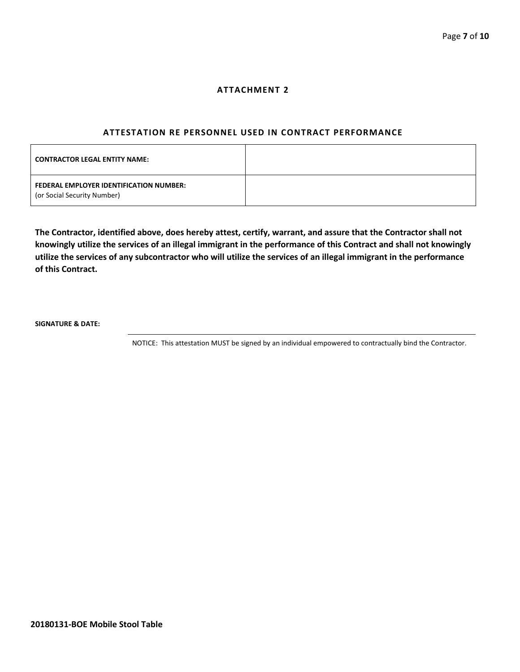#### **ATTACHMENT 2**

#### **ATTESTATION RE PERSONNEL USED IN CONTRACT PERFORMANCE**

| <b>CONTRACTOR LEGAL ENTITY NAME:</b>                                   |  |
|------------------------------------------------------------------------|--|
| FEDERAL EMPLOYER IDENTIFICATION NUMBER:<br>(or Social Security Number) |  |

**The Contractor, identified above, does hereby attest, certify, warrant, and assure that the Contractor shall not knowingly utilize the services of an illegal immigrant in the performance of this Contract and shall not knowingly utilize the services of any subcontractor who will utilize the services of an illegal immigrant in the performance of this Contract.**

**SIGNATURE & DATE:**

NOTICE: This attestation MUST be signed by an individual empowered to contractually bind the Contractor.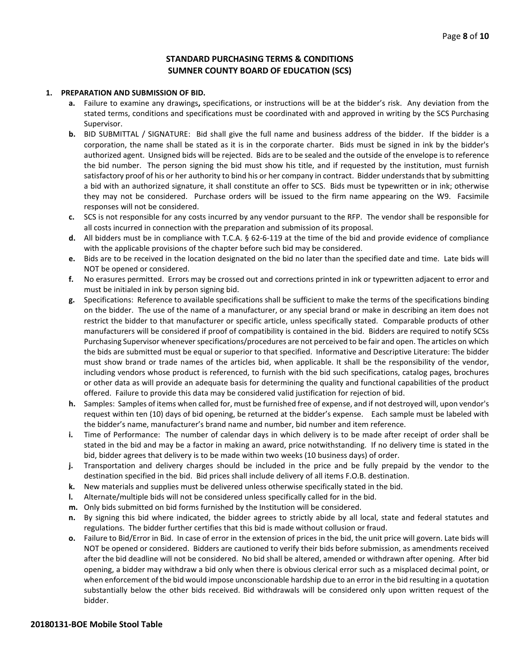## **STANDARD PURCHASING TERMS & CONDITIONS SUMNER COUNTY BOARD OF EDUCATION (SCS)**

#### **1. PREPARATION AND SUBMISSION OF BID.**

- **a.** Failure to examine any drawings**,** specifications, or instructions will be at the bidder's risk. Any deviation from the stated terms, conditions and specifications must be coordinated with and approved in writing by the SCS Purchasing Supervisor.
- **b.** BID SUBMITTAL / SIGNATURE: Bid shall give the full name and business address of the bidder. If the bidder is a corporation, the name shall be stated as it is in the corporate charter. Bids must be signed in ink by the bidder's authorized agent. Unsigned bids will be rejected. Bids are to be sealed and the outside of the envelope is to reference the bid number. The person signing the bid must show his title, and if requested by the institution, must furnish satisfactory proof of his or her authority to bind his or her company in contract. Bidder understands that by submitting a bid with an authorized signature, it shall constitute an offer to SCS. Bids must be typewritten or in ink; otherwise they may not be considered. Purchase orders will be issued to the firm name appearing on the W9. Facsimile responses will not be considered.
- **c.** SCS is not responsible for any costs incurred by any vendor pursuant to the RFP. The vendor shall be responsible for all costs incurred in connection with the preparation and submission of its proposal.
- **d.** All bidders must be in compliance with T.C.A. § 62-6-119 at the time of the bid and provide evidence of compliance with the applicable provisions of the chapter before such bid may be considered.
- **e.** Bids are to be received in the location designated on the bid no later than the specified date and time. Late bids will NOT be opened or considered.
- **f.** No erasures permitted. Errors may be crossed out and corrections printed in ink or typewritten adjacent to error and must be initialed in ink by person signing bid.
- **g.** Specifications: Reference to available specifications shall be sufficient to make the terms of the specifications binding on the bidder. The use of the name of a manufacturer, or any special brand or make in describing an item does not restrict the bidder to that manufacturer or specific article, unless specifically stated. Comparable products of other manufacturers will be considered if proof of compatibility is contained in the bid. Bidders are required to notify SCSs Purchasing Supervisor whenever specifications/procedures are not perceived to be fair and open. The articles on which the bids are submitted must be equal or superior to that specified. Informative and Descriptive Literature: The bidder must show brand or trade names of the articles bid, when applicable. It shall be the responsibility of the vendor, including vendors whose product is referenced, to furnish with the bid such specifications, catalog pages, brochures or other data as will provide an adequate basis for determining the quality and functional capabilities of the product offered. Failure to provide this data may be considered valid justification for rejection of bid.
- **h.** Samples: Samples of items when called for, must be furnished free of expense, and if not destroyed will, upon vendor's request within ten (10) days of bid opening, be returned at the bidder's expense. Each sample must be labeled with the bidder's name, manufacturer's brand name and number, bid number and item reference.
- **i.** Time of Performance: The number of calendar days in which delivery is to be made after receipt of order shall be stated in the bid and may be a factor in making an award, price notwithstanding. If no delivery time is stated in the bid, bidder agrees that delivery is to be made within two weeks (10 business days) of order.
- **j.** Transportation and delivery charges should be included in the price and be fully prepaid by the vendor to the destination specified in the bid. Bid prices shall include delivery of all items F.O.B. destination.
- **k.** New materials and supplies must be delivered unless otherwise specifically stated in the bid.
- **l.** Alternate/multiple bids will not be considered unless specifically called for in the bid.
- **m.** Only bids submitted on bid forms furnished by the Institution will be considered.
- **n.** By signing this bid where indicated, the bidder agrees to strictly abide by all local, state and federal statutes and regulations. The bidder further certifies that this bid is made without collusion or fraud.
- **o.** Failure to Bid/Error in Bid. In case of error in the extension of prices in the bid, the unit price will govern. Late bids will NOT be opened or considered. Bidders are cautioned to verify their bids before submission, as amendments received after the bid deadline will not be considered. No bid shall be altered, amended or withdrawn after opening. After bid opening, a bidder may withdraw a bid only when there is obvious clerical error such as a misplaced decimal point, or when enforcement of the bid would impose unconscionable hardship due to an error in the bid resulting in a quotation substantially below the other bids received. Bid withdrawals will be considered only upon written request of the bidder.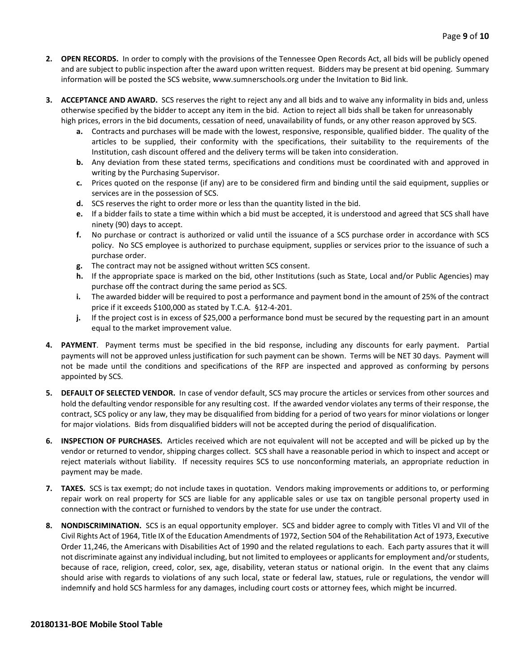- **2. OPEN RECORDS.** In order to comply with the provisions of the Tennessee Open Records Act, all bids will be publicly opened and are subject to public inspection after the award upon written request. Bidders may be present at bid opening. Summary information will be posted the SCS website, www.sumnerschools.org under the Invitation to Bid link.
- **3. ACCEPTANCE AND AWARD.** SCS reserves the right to reject any and all bids and to waive any informality in bids and, unless otherwise specified by the bidder to accept any item in the bid. Action to reject all bids shall be taken for unreasonably high prices, errors in the bid documents, cessation of need, unavailability of funds, or any other reason approved by SCS.
	- **a.** Contracts and purchases will be made with the lowest, responsive, responsible, qualified bidder. The quality of the articles to be supplied, their conformity with the specifications, their suitability to the requirements of the Institution, cash discount offered and the delivery terms will be taken into consideration.
	- **b.** Any deviation from these stated terms, specifications and conditions must be coordinated with and approved in writing by the Purchasing Supervisor.
	- **c.** Prices quoted on the response (if any) are to be considered firm and binding until the said equipment, supplies or services are in the possession of SCS.
	- **d.** SCS reserves the right to order more or less than the quantity listed in the bid.
	- **e.** If a bidder fails to state a time within which a bid must be accepted, it is understood and agreed that SCS shall have ninety (90) days to accept.
	- **f.** No purchase or contract is authorized or valid until the issuance of a SCS purchase order in accordance with SCS policy. No SCS employee is authorized to purchase equipment, supplies or services prior to the issuance of such a purchase order.
	- **g.** The contract may not be assigned without written SCS consent.
	- **h.** If the appropriate space is marked on the bid, other Institutions (such as State, Local and/or Public Agencies) may purchase off the contract during the same period as SCS.
	- **i.** The awarded bidder will be required to post a performance and payment bond in the amount of 25% of the contract price if it exceeds \$100,000 as stated by T.C.A. §12-4-201.
	- **j.** If the project cost is in excess of \$25,000 a performance bond must be secured by the requesting part in an amount equal to the market improvement value.
- **4. PAYMENT**. Payment terms must be specified in the bid response, including any discounts for early payment. Partial payments will not be approved unless justification for such payment can be shown. Terms will be NET 30 days. Payment will not be made until the conditions and specifications of the RFP are inspected and approved as conforming by persons appointed by SCS.
- **5. DEFAULT OF SELECTED VENDOR.** In case of vendor default, SCS may procure the articles or services from other sources and hold the defaulting vendor responsible for any resulting cost. If the awarded vendor violates any terms of their response, the contract, SCS policy or any law, they may be disqualified from bidding for a period of two years for minor violations or longer for major violations. Bids from disqualified bidders will not be accepted during the period of disqualification.
- **6. INSPECTION OF PURCHASES.** Articles received which are not equivalent will not be accepted and will be picked up by the vendor or returned to vendor, shipping charges collect. SCS shall have a reasonable period in which to inspect and accept or reject materials without liability. If necessity requires SCS to use nonconforming materials, an appropriate reduction in payment may be made.
- **7. TAXES.** SCS is tax exempt; do not include taxes in quotation. Vendors making improvements or additions to, or performing repair work on real property for SCS are liable for any applicable sales or use tax on tangible personal property used in connection with the contract or furnished to vendors by the state for use under the contract.
- **8. NONDISCRIMINATION.** SCS is an equal opportunity employer. SCS and bidder agree to comply with Titles VI and VII of the Civil Rights Act of 1964, Title IX of the Education Amendments of 1972, Section 504 of the Rehabilitation Act of 1973, Executive Order 11,246, the Americans with Disabilities Act of 1990 and the related regulations to each. Each party assures that it will not discriminate against any individual including, but not limited to employees or applicants for employment and/or students, because of race, religion, creed, color, sex, age, disability, veteran status or national origin. In the event that any claims should arise with regards to violations of any such local, state or federal law, statues, rule or regulations, the vendor will indemnify and hold SCS harmless for any damages, including court costs or attorney fees, which might be incurred.